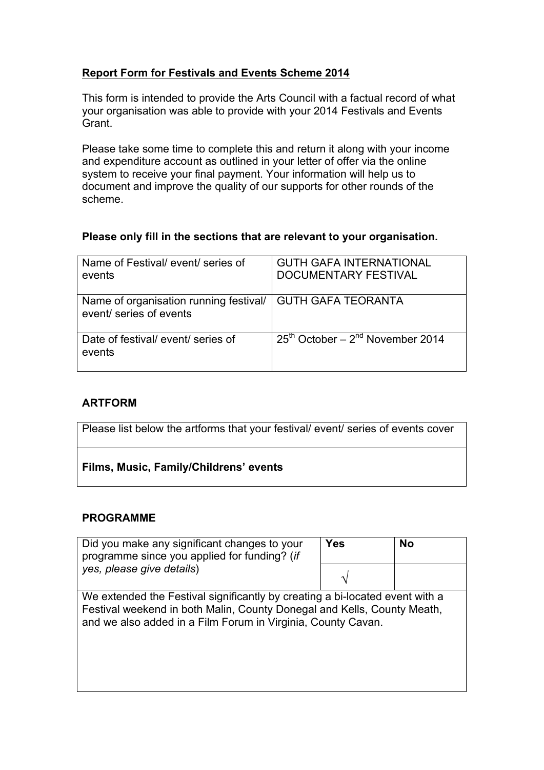### **Report Form for Festivals and Events Scheme 2014**

This form is intended to provide the Arts Council with a factual record of what your organisation was able to provide with your 2014 Festivals and Events Grant.

Please take some time to complete this and return it along with your income and expenditure account as outlined in your letter of offer via the online system to receive your final payment. Your information will help us to document and improve the quality of our supports for other rounds of the scheme.

### **Please only fill in the sections that are relevant to your organisation.**

| Name of Festival/ event/ series of<br>events                      | <b>GUTH GAFA INTERNATIONAL</b><br><b>DOCUMENTARY FESTIVAL</b> |
|-------------------------------------------------------------------|---------------------------------------------------------------|
| Name of organisation running festival/<br>event/ series of events | <b>GUTH GAFA TEORANTA</b>                                     |
| Date of festival/event/series of<br>events                        | $25th$ October – $2nd$ November 2014                          |

### **ARTFORM**

| Please list below the artforms that your festival/ event/ series of events cover |
|----------------------------------------------------------------------------------|
| Films, Music, Family/Childrens' events                                           |

### **PROGRAMME**

| Did you make any significant changes to your<br>programme since you applied for funding? (if<br>yes, please give details)                                                                                               | <b>Yes</b> | <b>No</b> |
|-------------------------------------------------------------------------------------------------------------------------------------------------------------------------------------------------------------------------|------------|-----------|
|                                                                                                                                                                                                                         |            |           |
| We extended the Festival significantly by creating a bi-located event with a<br>Festival weekend in both Malin, County Donegal and Kells, County Meath,<br>and we also added in a Film Forum in Virginia, County Cavan. |            |           |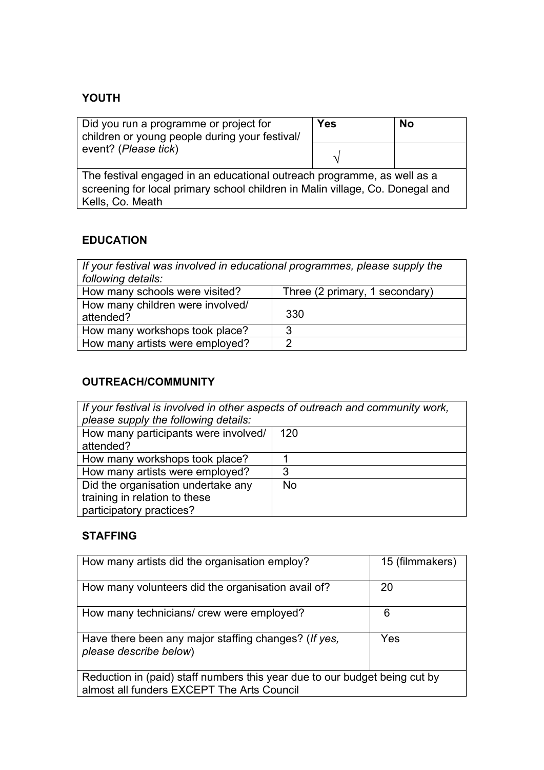# **YOUTH**

| Did you run a programme or project for<br>children or young people during your festival/                                                                                     | Yes | <b>No</b> |  |
|------------------------------------------------------------------------------------------------------------------------------------------------------------------------------|-----|-----------|--|
| event? (Please tick)                                                                                                                                                         |     |           |  |
| The festival engaged in an educational outreach programme, as well as a<br>screening for local primary school children in Malin village, Co. Donegal and<br>Kells, Co. Meath |     |           |  |

# **EDUCATION**

| If your festival was involved in educational programmes, please supply the |                                |  |  |
|----------------------------------------------------------------------------|--------------------------------|--|--|
| following details:                                                         |                                |  |  |
| How many schools were visited?                                             | Three (2 primary, 1 secondary) |  |  |
| How many children were involved/<br>attended?                              | 330                            |  |  |
| How many workshops took place?                                             | 3                              |  |  |
| How many artists were employed?                                            | 2                              |  |  |

# **OUTREACH/COMMUNITY**

| If your festival is involved in other aspects of outreach and community work,<br>please supply the following details: |           |  |  |
|-----------------------------------------------------------------------------------------------------------------------|-----------|--|--|
| How many participants were involved/<br>attended?                                                                     | 120       |  |  |
| How many workshops took place?                                                                                        |           |  |  |
| How many artists were employed?                                                                                       | 3         |  |  |
| Did the organisation undertake any<br>training in relation to these<br>participatory practices?                       | <b>No</b> |  |  |

### **STAFFING**

| How many artists did the organisation employ?                                                                            | 15 (filmmakers) |  |
|--------------------------------------------------------------------------------------------------------------------------|-----------------|--|
| How many volunteers did the organisation avail of?                                                                       | 20              |  |
| How many technicians/ crew were employed?                                                                                | 6               |  |
| Have there been any major staffing changes? (If yes,<br>please describe below)                                           | Yes             |  |
| Reduction in (paid) staff numbers this year due to our budget being cut by<br>almost all funders EXCEPT The Arts Council |                 |  |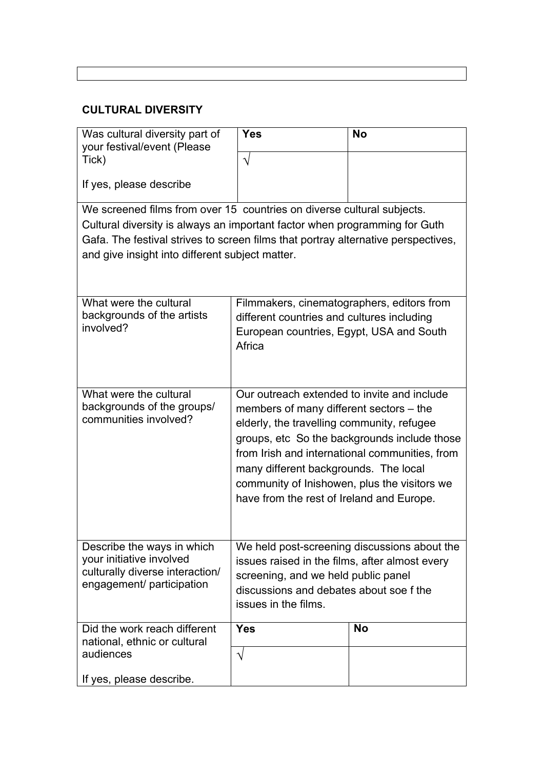# **CULTURAL DIVERSITY**

| Was cultural diversity part of<br>your festival/event (Please                     | <b>Yes</b>                                         | <b>No</b>                                                                                      |  |
|-----------------------------------------------------------------------------------|----------------------------------------------------|------------------------------------------------------------------------------------------------|--|
| Tick)                                                                             |                                                    |                                                                                                |  |
| If yes, please describe                                                           |                                                    |                                                                                                |  |
| We screened films from over 15 countries on diverse cultural subjects.            |                                                    |                                                                                                |  |
| Cultural diversity is always an important factor when programming for Guth        |                                                    |                                                                                                |  |
| Gafa. The festival strives to screen films that portray alternative perspectives, |                                                    |                                                                                                |  |
| and give insight into different subject matter.                                   |                                                    |                                                                                                |  |
|                                                                                   |                                                    |                                                                                                |  |
| What were the cultural                                                            | Filmmakers, cinematographers, editors from         |                                                                                                |  |
| backgrounds of the artists<br>involved?                                           | different countries and cultures including         |                                                                                                |  |
|                                                                                   | European countries, Egypt, USA and South<br>Africa |                                                                                                |  |
|                                                                                   |                                                    |                                                                                                |  |
|                                                                                   |                                                    |                                                                                                |  |
| What were the cultural                                                            | Our outreach extended to invite and include        |                                                                                                |  |
| backgrounds of the groups/<br>communities involved?                               | members of many different sectors – the            |                                                                                                |  |
|                                                                                   | elderly, the travelling community, refugee         |                                                                                                |  |
|                                                                                   |                                                    | groups, etc So the backgrounds include those<br>from Irish and international communities, from |  |
|                                                                                   | many different backgrounds. The local              |                                                                                                |  |
|                                                                                   | community of Inishowen, plus the visitors we       |                                                                                                |  |
|                                                                                   | have from the rest of Ireland and Europe.          |                                                                                                |  |
|                                                                                   |                                                    |                                                                                                |  |
| Describe the ways in which                                                        |                                                    | We held post-screening discussions about the                                                   |  |
| your initiative involved                                                          | issues raised in the films, after almost every     |                                                                                                |  |
| culturally diverse interaction/                                                   | screening, and we held public panel                |                                                                                                |  |
| engagement/ participation                                                         | discussions and debates about soe f the            |                                                                                                |  |
| issues in the films.                                                              |                                                    |                                                                                                |  |
| Did the work reach different                                                      | <b>Yes</b>                                         | <b>No</b>                                                                                      |  |
| national, ethnic or cultural<br>audiences                                         | V                                                  |                                                                                                |  |
| If yes, please describe.                                                          |                                                    |                                                                                                |  |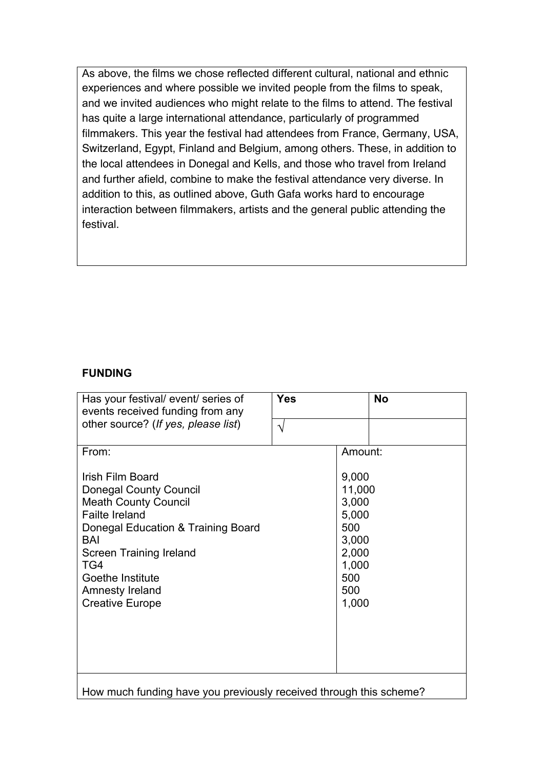As above, the films we chose reflected different cultural, national and ethnic experiences and where possible we invited people from the films to speak, and we invited audiences who might relate to the films to attend. The festival has quite a large international attendance, particularly of programmed filmmakers. This year the festival had attendees from France, Germany, USA, Switzerland, Egypt, Finland and Belgium, among others. These, in addition to the local attendees in Donegal and Kells, and those who travel from Ireland and further afield, combine to make the festival attendance very diverse. In addition to this, as outlined above, Guth Gafa works hard to encourage interaction between filmmakers, artists and the general public attending the festival.

#### **FUNDING**

| Has your festival/ event/ series of<br>events received funding from any                                                                                                                                                                                   | <b>Yes</b> |                                                                                            | <b>No</b> |
|-----------------------------------------------------------------------------------------------------------------------------------------------------------------------------------------------------------------------------------------------------------|------------|--------------------------------------------------------------------------------------------|-----------|
| other source? (If yes, please list)                                                                                                                                                                                                                       | $\gamma$   |                                                                                            |           |
| From:                                                                                                                                                                                                                                                     |            | Amount:                                                                                    |           |
| Irish Film Board<br><b>Donegal County Council</b><br><b>Meath County Council</b><br><b>Failte Ireland</b><br>Donegal Education & Training Board<br>BAI<br>Screen Training Ireland<br>TG4<br>Goethe Institute<br>Amnesty Ireland<br><b>Creative Europe</b> |            | 9,000<br>11,000<br>3,000<br>5,000<br>500<br>3,000<br>2,000<br>1,000<br>500<br>500<br>1,000 |           |
| How much funding have you previously received through this scheme?                                                                                                                                                                                        |            |                                                                                            |           |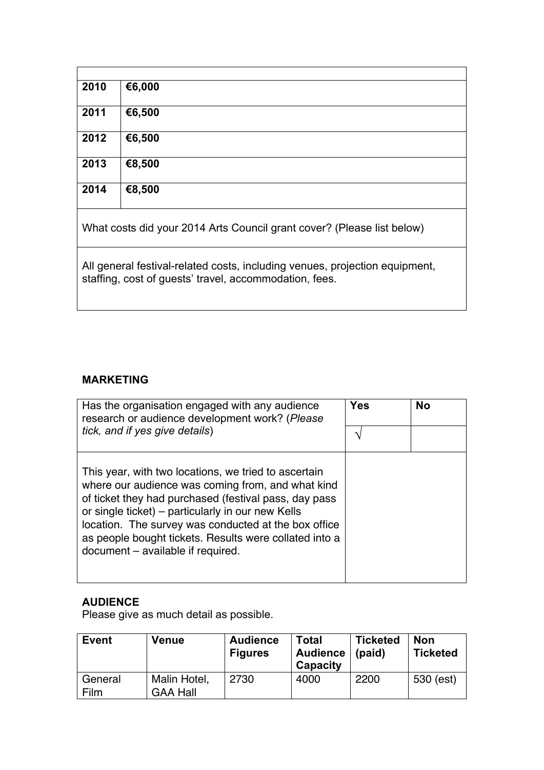| €6,500 |        |
|--------|--------|
| €6,500 |        |
| €8,500 |        |
| €8,500 |        |
|        | €6,000 |

What costs did your 2014 Arts Council grant cover? (Please list below)

All general festival-related costs, including venues, projection equipment, staffing, cost of guests' travel, accommodation, fees.

### **MARKETING**

| Has the organisation engaged with any audience<br>research or audience development work? (Please                                                                                                                                                                                                                                                                               | Yes | <b>No</b> |
|--------------------------------------------------------------------------------------------------------------------------------------------------------------------------------------------------------------------------------------------------------------------------------------------------------------------------------------------------------------------------------|-----|-----------|
| tick, and if yes give details)                                                                                                                                                                                                                                                                                                                                                 |     |           |
| This year, with two locations, we tried to ascertain<br>where our audience was coming from, and what kind<br>of ticket they had purchased (festival pass, day pass<br>or single ticket) – particularly in our new Kells<br>location. The survey was conducted at the box office<br>as people bought tickets. Results were collated into a<br>document – available if required. |     |           |

## **AUDIENCE**

Please give as much detail as possible.

| <b>Event</b>    | Venue                           | <b>Audience</b><br><b>Figures</b> | Total<br><b>Audience</b><br>Capacity | <b>Ticketed</b><br>(paid) | <b>Non</b><br><b>Ticketed</b> |
|-----------------|---------------------------------|-----------------------------------|--------------------------------------|---------------------------|-------------------------------|
| General<br>Film | Malin Hotel,<br><b>GAA Hall</b> | 2730                              | 4000                                 | 2200                      | 530 (est)                     |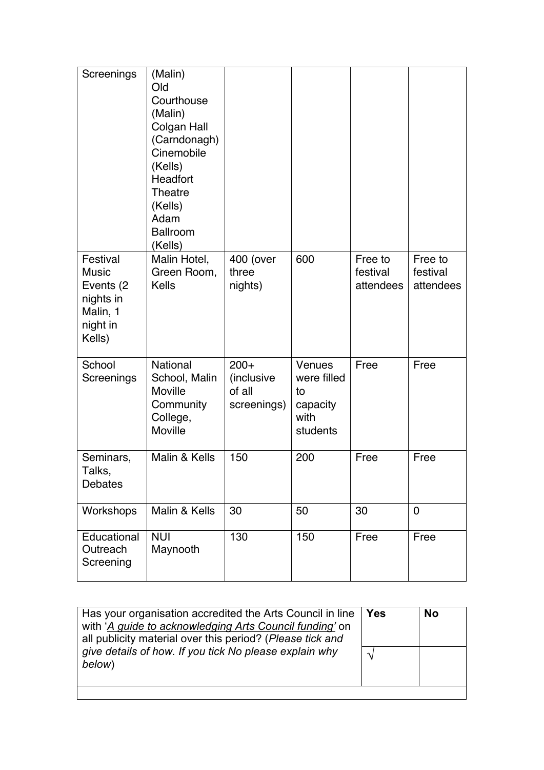| Screenings                                                                            | (Malin)<br>Old<br>Courthouse<br>(Malin)<br>Colgan Hall<br>(Carndonagh)<br>Cinemobile<br>(Kells)<br>Headfort<br>Theatre<br>(Kells)<br>Adam<br><b>Ballroom</b><br>(Kells) |                                               |                                                             |                                  |                                  |
|---------------------------------------------------------------------------------------|-------------------------------------------------------------------------------------------------------------------------------------------------------------------------|-----------------------------------------------|-------------------------------------------------------------|----------------------------------|----------------------------------|
| Festival<br><b>Music</b><br>Events (2)<br>nights in<br>Malin, 1<br>night in<br>Kells) | Malin Hotel,<br>Green Room,<br><b>Kells</b>                                                                                                                             | 400 (over<br>three<br>nights)                 | 600                                                         | Free to<br>festival<br>attendees | Free to<br>festival<br>attendees |
| School<br>Screenings                                                                  | <b>National</b><br>School, Malin<br>Moville<br>Community<br>College,<br>Moville                                                                                         | $200+$<br>(inclusive<br>of all<br>screenings) | Venues<br>were filled<br>to<br>capacity<br>with<br>students | Free                             | Free                             |
| Seminars,<br>Talks,<br>Debates                                                        | Malin & Kells                                                                                                                                                           | 150                                           | 200                                                         | Free                             | Free                             |
| Workshops                                                                             | Malin & Kells                                                                                                                                                           | 30                                            | 50                                                          | 30                               | $\overline{0}$                   |
| Educational<br>Outreach<br>Screening                                                  | <b>NUI</b><br>Maynooth                                                                                                                                                  | 130                                           | 150                                                         | Free                             | Free                             |

| Has your organisation accredited the Arts Council in line<br>with 'A guide to acknowledging Arts Council funding' on<br>all publicity material over this period? (Please tick and<br>give details of how. If you tick No please explain why<br>below) | <b>Yes</b> | <b>No</b> |
|-------------------------------------------------------------------------------------------------------------------------------------------------------------------------------------------------------------------------------------------------------|------------|-----------|
|                                                                                                                                                                                                                                                       |            |           |